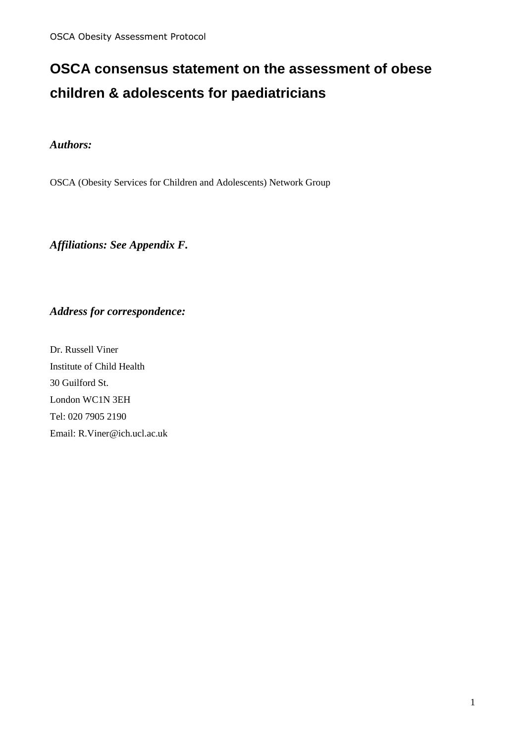# **OSCA consensus statement on the assessment of obese children & adolescents for paediatricians**

#### *Authors:*

OSCA (Obesity Services for Children and Adolescents) Network Group

*Affiliations: See Appendix F.* 

### *Address for correspondence:*

Dr. Russell Viner Institute of Child Health 30 Guilford St. London WC1N 3EH Tel: 020 7905 2190 Email: R.Viner@ich.ucl.ac.uk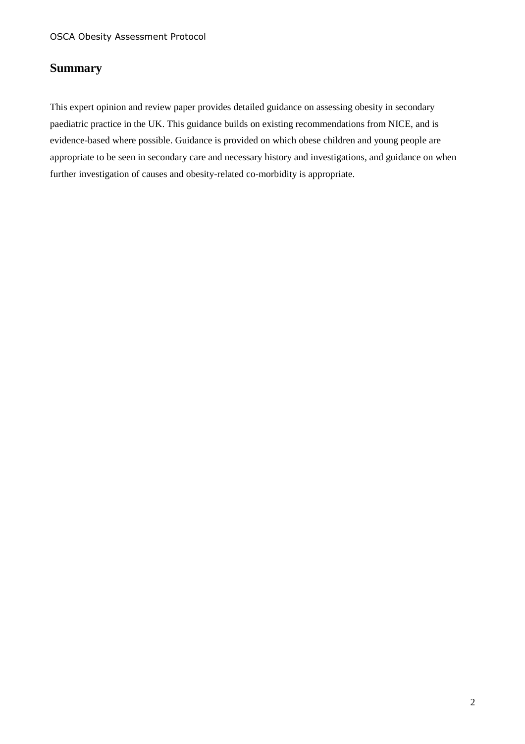### **Summary**

This expert opinion and review paper provides detailed guidance on assessing obesity in secondary paediatric practice in the UK. This guidance builds on existing recommendations from NICE, and is evidence-based where possible. Guidance is provided on which obese children and young people are appropriate to be seen in secondary care and necessary history and investigations, and guidance on when further investigation of causes and obesity-related co-morbidity is appropriate.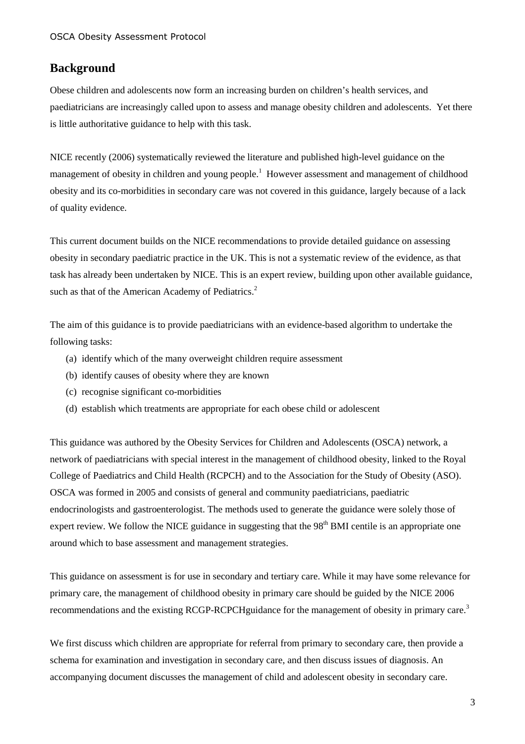#### **Background**

Obese children and adolescents now form an increasing burden on children's health services, and paediatricians are increasingly called upon to assess and manage obesity children and adolescents. Yet there is little authoritative guidance to help with this task.

NICE recently (2006) systematically reviewed the literature and published high-level guidance on the management of obesity in children and young people.<sup>1</sup> However assessment and management of childhood obesity and its co-morbidities in secondary care was not covered in this guidance, largely because of a lack of quality evidence.

This current document builds on the NICE recommendations to provide detailed guidance on assessing obesity in secondary paediatric practice in the UK. This is not a systematic review of the evidence, as that task has already been undertaken by NICE. This is an expert review, building upon other available guidance, such as that of the American Academy of Pediatrics. $2$ 

The aim of this guidance is to provide paediatricians with an evidence-based algorithm to undertake the following tasks:

- (a) identify which of the many overweight children require assessment
- (b) identify causes of obesity where they are known
- (c) recognise significant co-morbidities
- (d) establish which treatments are appropriate for each obese child or adolescent

This guidance was authored by the Obesity Services for Children and Adolescents (OSCA) network, a network of paediatricians with special interest in the management of childhood obesity, linked to the Royal College of Paediatrics and Child Health (RCPCH) and to the Association for the Study of Obesity (ASO). OSCA was formed in 2005 and consists of general and community paediatricians, paediatric endocrinologists and gastroenterologist. The methods used to generate the guidance were solely those of expert review. We follow the NICE guidance in suggesting that the  $98<sup>th</sup>$  BMI centile is an appropriate one around which to base assessment and management strategies.

This guidance on assessment is for use in secondary and tertiary care. While it may have some relevance for primary care, the management of childhood obesity in primary care should be guided by the NICE 2006 recommendations and the existing RCGP-RCPCHguidance for the management of obesity in primary care.<sup>3</sup>

We first discuss which children are appropriate for referral from primary to secondary care, then provide a schema for examination and investigation in secondary care, and then discuss issues of diagnosis. An accompanying document discusses the management of child and adolescent obesity in secondary care.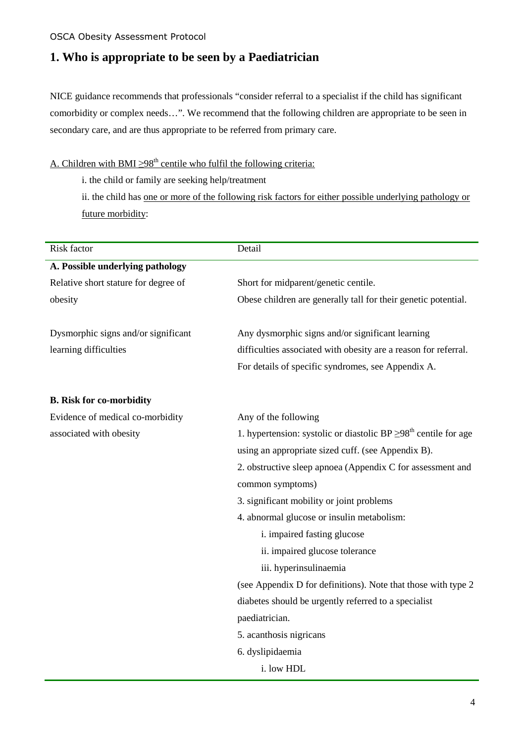### **1. Who is appropriate to be seen by a Paediatrician**

NICE guidance recommends that professionals "consider referral to a specialist if the child has significant comorbidity or complex needs…". We recommend that the following children are appropriate to be seen in secondary care, and are thus appropriate to be referred from primary care.

### A. Children with BMI  $\geq$ 98<sup>th</sup> centile who fulfil the following criteria:

i. the child or family are seeking help/treatment

ii. the child has one or more of the following risk factors for either possible underlying pathology or future morbidity:

| Risk factor                          | Detail                                                                            |  |
|--------------------------------------|-----------------------------------------------------------------------------------|--|
| A. Possible underlying pathology     |                                                                                   |  |
| Relative short stature for degree of | Short for midparent/genetic centile.                                              |  |
| obesity                              | Obese children are generally tall for their genetic potential.                    |  |
|                                      |                                                                                   |  |
| Dysmorphic signs and/or significant  | Any dysmorphic signs and/or significant learning                                  |  |
| learning difficulties                | difficulties associated with obesity are a reason for referral.                   |  |
|                                      | For details of specific syndromes, see Appendix A.                                |  |
| <b>B.</b> Risk for co-morbidity      |                                                                                   |  |
| Evidence of medical co-morbidity     | Any of the following                                                              |  |
| associated with obesity              | 1. hypertension: systolic or diastolic BP $\geq$ 98 <sup>th</sup> centile for age |  |
|                                      | using an appropriate sized cuff. (see Appendix B).                                |  |
|                                      | 2. obstructive sleep apnoea (Appendix C for assessment and                        |  |
|                                      | common symptoms)                                                                  |  |
|                                      | 3. significant mobility or joint problems                                         |  |
|                                      | 4. abnormal glucose or insulin metabolism:                                        |  |
|                                      | i. impaired fasting glucose                                                       |  |
|                                      | ii. impaired glucose tolerance                                                    |  |
|                                      | iii. hyperinsulinaemia                                                            |  |
|                                      | (see Appendix D for definitions). Note that those with type 2                     |  |
|                                      | diabetes should be urgently referred to a specialist                              |  |
|                                      | paediatrician.                                                                    |  |
|                                      | 5. acanthosis nigricans                                                           |  |
|                                      | 6. dyslipidaemia                                                                  |  |
|                                      | i. low HDL                                                                        |  |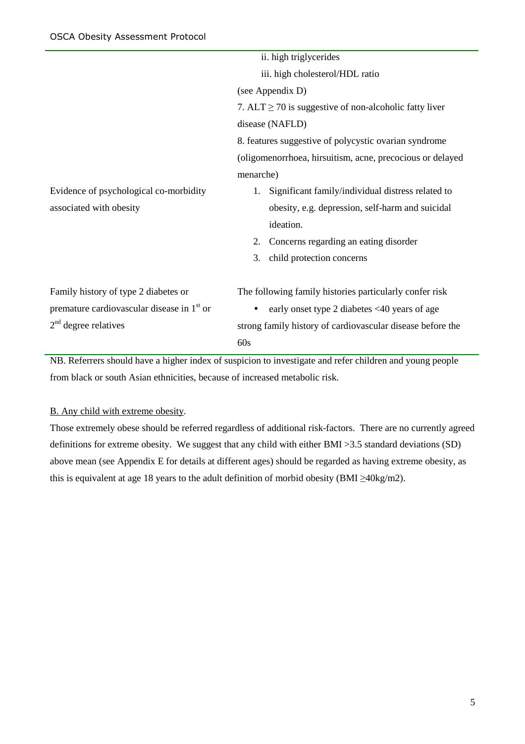|                                                        | ii. high triglycerides                                     |  |  |
|--------------------------------------------------------|------------------------------------------------------------|--|--|
|                                                        | iii. high cholesterol/HDL ratio                            |  |  |
|                                                        | (see Appendix D)                                           |  |  |
|                                                        | 7. $ALT \ge 70$ is suggestive of non-alcoholic fatty liver |  |  |
|                                                        | disease (NAFLD)                                            |  |  |
|                                                        | 8. features suggestive of polycystic ovarian syndrome      |  |  |
|                                                        | (oligomenorrhoea, hirsuitism, acne, precocious or delayed  |  |  |
|                                                        | menarche)                                                  |  |  |
| Evidence of psychological co-morbidity                 | Significant family/individual distress related to          |  |  |
| associated with obesity                                | obesity, e.g. depression, self-harm and suicidal           |  |  |
|                                                        | ideation.                                                  |  |  |
|                                                        | Concerns regarding an eating disorder<br>2.                |  |  |
|                                                        | child protection concerns<br>3.                            |  |  |
| Family history of type 2 diabetes or                   | The following family histories particularly confer risk    |  |  |
| premature cardiovascular disease in 1 <sup>st</sup> or | early onset type 2 diabetes <40 years of age               |  |  |
| $2nd$ degree relatives                                 | strong family history of cardiovascular disease before the |  |  |
|                                                        | 60s                                                        |  |  |

NB. Referrers should have a higher index of suspicion to investigate and refer children and young people from black or south Asian ethnicities, because of increased metabolic risk.

#### B. Any child with extreme obesity.

Those extremely obese should be referred regardless of additional risk-factors. There are no currently agreed definitions for extreme obesity. We suggest that any child with either BMI >3.5 standard deviations (SD) above mean (see Appendix E for details at different ages) should be regarded as having extreme obesity, as this is equivalent at age 18 years to the adult definition of morbid obesity (BMI  $\geq$ 40kg/m2).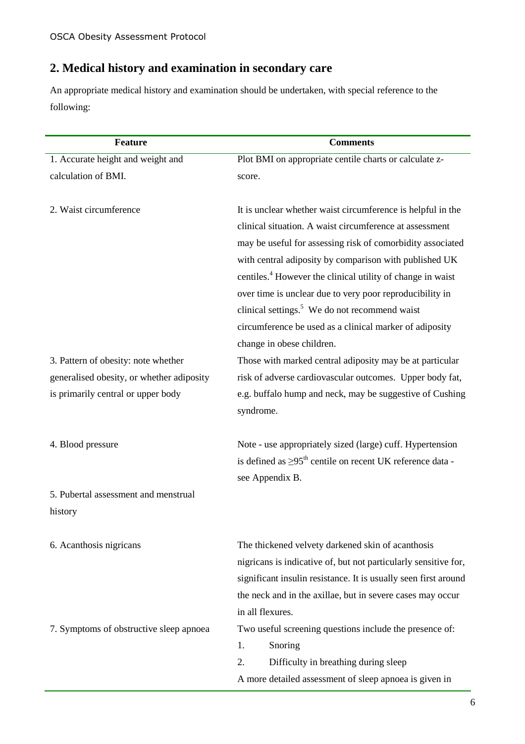## **2. Medical history and examination in secondary care**

An appropriate medical history and examination should be undertaken, with special reference to the following:

| <b>Feature</b>                                                                  | <b>Comments</b>                                                                                                                                                                                                                                                                                                                                                                                                                                                                                                                           |  |
|---------------------------------------------------------------------------------|-------------------------------------------------------------------------------------------------------------------------------------------------------------------------------------------------------------------------------------------------------------------------------------------------------------------------------------------------------------------------------------------------------------------------------------------------------------------------------------------------------------------------------------------|--|
| 1. Accurate height and weight and                                               | Plot BMI on appropriate centile charts or calculate z-                                                                                                                                                                                                                                                                                                                                                                                                                                                                                    |  |
| calculation of BMI.                                                             | score.                                                                                                                                                                                                                                                                                                                                                                                                                                                                                                                                    |  |
| 2. Waist circumference                                                          | It is unclear whether waist circumference is helpful in the<br>clinical situation. A waist circumference at assessment<br>may be useful for assessing risk of comorbidity associated<br>with central adiposity by comparison with published UK<br>centiles. <sup>4</sup> However the clinical utility of change in waist<br>over time is unclear due to very poor reproducibility in<br>clinical settings. <sup>5</sup> We do not recommend waist<br>circumference be used as a clinical marker of adiposity<br>change in obese children. |  |
| 3. Pattern of obesity: note whether                                             | Those with marked central adiposity may be at particular                                                                                                                                                                                                                                                                                                                                                                                                                                                                                  |  |
| generalised obesity, or whether adiposity<br>is primarily central or upper body | risk of adverse cardiovascular outcomes. Upper body fat,<br>e.g. buffalo hump and neck, may be suggestive of Cushing<br>syndrome.                                                                                                                                                                                                                                                                                                                                                                                                         |  |
| 4. Blood pressure                                                               | Note - use appropriately sized (large) cuff. Hypertension<br>is defined as $\geq$ 95 <sup>th</sup> centile on recent UK reference data -<br>see Appendix B.                                                                                                                                                                                                                                                                                                                                                                               |  |
| 5. Pubertal assessment and menstrual                                            |                                                                                                                                                                                                                                                                                                                                                                                                                                                                                                                                           |  |
| history                                                                         |                                                                                                                                                                                                                                                                                                                                                                                                                                                                                                                                           |  |
| 6. Acanthosis nigricans                                                         | The thickened velvety darkened skin of acanthosis<br>nigricans is indicative of, but not particularly sensitive for,<br>significant insulin resistance. It is usually seen first around<br>the neck and in the axillae, but in severe cases may occur<br>in all flexures.                                                                                                                                                                                                                                                                 |  |
| 7. Symptoms of obstructive sleep apnoea                                         | Two useful screening questions include the presence of:<br>Snoring<br>1.<br>2.<br>Difficulty in breathing during sleep<br>A more detailed assessment of sleep apnoea is given in                                                                                                                                                                                                                                                                                                                                                          |  |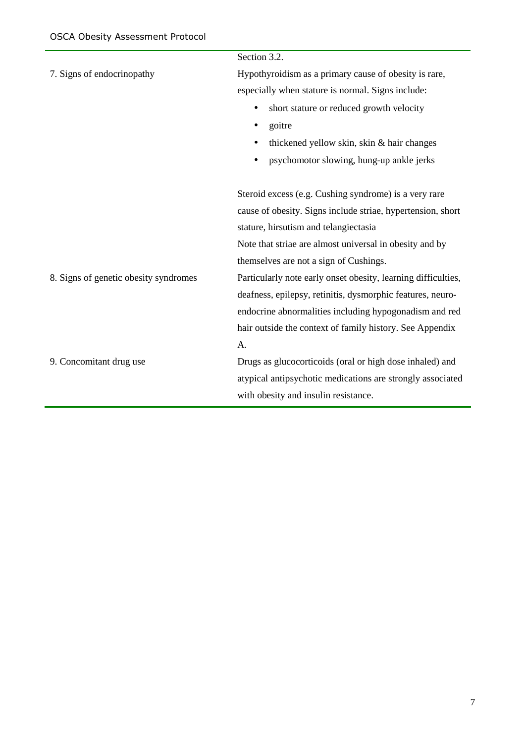|                                       | Section 3.2.                                                  |  |  |
|---------------------------------------|---------------------------------------------------------------|--|--|
| 7. Signs of endocrinopathy            | Hypothyroidism as a primary cause of obesity is rare,         |  |  |
|                                       | especially when stature is normal. Signs include:             |  |  |
|                                       | short stature or reduced growth velocity<br>$\bullet$         |  |  |
|                                       | goitre<br>٠                                                   |  |  |
|                                       | thickened yellow skin, skin & hair changes                    |  |  |
|                                       | psychomotor slowing, hung-up ankle jerks<br>٠                 |  |  |
|                                       | Steroid excess (e.g. Cushing syndrome) is a very rare         |  |  |
|                                       | cause of obesity. Signs include striae, hypertension, short   |  |  |
|                                       | stature, hirsutism and telangiectasia                         |  |  |
|                                       | Note that striae are almost universal in obesity and by       |  |  |
|                                       | themselves are not a sign of Cushings.                        |  |  |
| 8. Signs of genetic obesity syndromes | Particularly note early onset obesity, learning difficulties, |  |  |
|                                       | deafness, epilepsy, retinitis, dysmorphic features, neuro-    |  |  |
|                                       | endocrine abnormalities including hypogonadism and red        |  |  |
|                                       | hair outside the context of family history. See Appendix      |  |  |
|                                       | A.                                                            |  |  |
| 9. Concomitant drug use               | Drugs as glucocorticoids (oral or high dose inhaled) and      |  |  |
|                                       | atypical antipsychotic medications are strongly associated    |  |  |
|                                       | with obesity and insulin resistance.                          |  |  |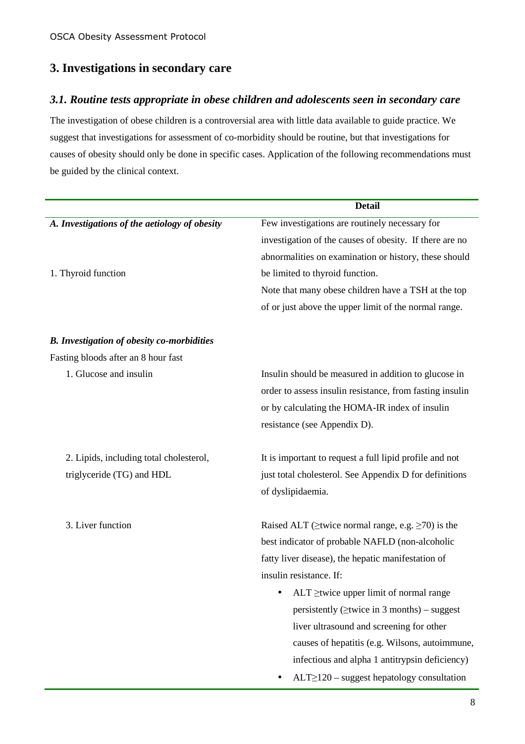### **3. Investigations in secondary care**

### *3.1. Routine tests appropriate in obese children and adolescents seen in secondary care*

The investigation of obese children is a controversial area with little data available to guide practice. We suggest that investigations for assessment of co-morbidity should be routine, but that investigations for causes of obesity should only be done in specific cases. Application of the following recommendations must be guided by the clinical context.

|                                                   | <b>Detail</b>                                                  |  |
|---------------------------------------------------|----------------------------------------------------------------|--|
| A. Investigations of the aetiology of obesity     | Few investigations are routinely necessary for                 |  |
|                                                   | investigation of the causes of obesity. If there are no        |  |
|                                                   | abnormalities on examination or history, these should          |  |
| 1. Thyroid function                               | be limited to thyroid function.                                |  |
|                                                   | Note that many obese children have a TSH at the top            |  |
|                                                   | of or just above the upper limit of the normal range.          |  |
| <b>B.</b> Investigation of obesity co-morbidities |                                                                |  |
| Fasting bloods after an 8 hour fast               |                                                                |  |
| 1. Glucose and insulin                            | Insulin should be measured in addition to glucose in           |  |
|                                                   | order to assess insulin resistance, from fasting insulin       |  |
|                                                   | or by calculating the HOMA-IR index of insulin                 |  |
|                                                   | resistance (see Appendix D).                                   |  |
| 2. Lipids, including total cholesterol,           | It is important to request a full lipid profile and not        |  |
| triglyceride (TG) and HDL                         | just total cholesterol. See Appendix D for definitions         |  |
|                                                   | of dyslipidaemia.                                              |  |
| 3. Liver function                                 | Raised ALT ( $\geq$ twice normal range, e.g. $\geq$ 70) is the |  |
|                                                   | best indicator of probable NAFLD (non-alcoholic                |  |
|                                                   | fatty liver disease), the hepatic manifestation of             |  |
|                                                   | insulin resistance. If:                                        |  |
|                                                   | $ALT \ge$ twice upper limit of normal range                    |  |
|                                                   | persistently ( $\geq$ twice in 3 months) – suggest             |  |
|                                                   | liver ultrasound and screening for other                       |  |
|                                                   | causes of hepatitis (e.g. Wilsons, autoimmune,                 |  |
|                                                   | infectious and alpha 1 antitrypsin deficiency)                 |  |
|                                                   | $ALT \geq 120$ – suggest hepatology consultation               |  |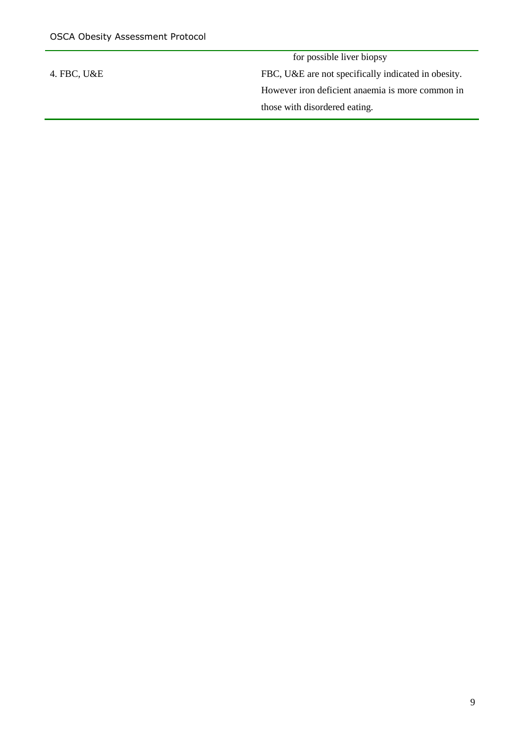for possible liver biopsy 4. FBC, U&E FBC, U&E are not specifically indicated in obesity. However iron deficient anaemia is more common in those with disordered eating.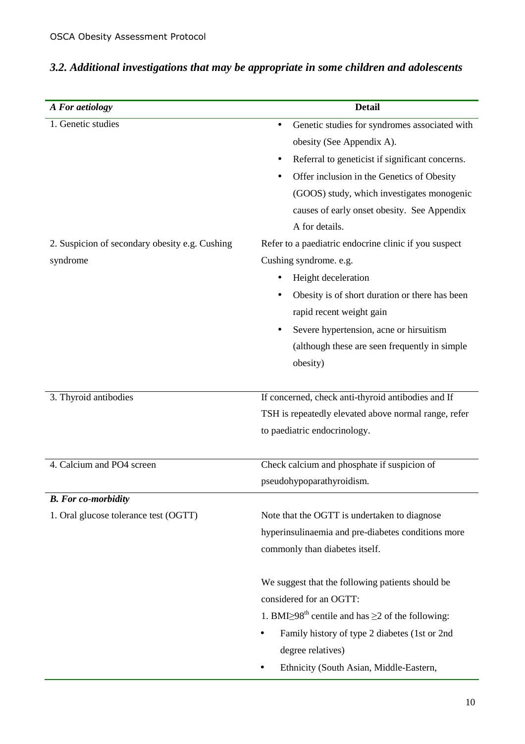| A For aetiology                                | <b>Detail</b>                                                             |
|------------------------------------------------|---------------------------------------------------------------------------|
| 1. Genetic studies                             | Genetic studies for syndromes associated with<br>٠                        |
|                                                | obesity (See Appendix A).                                                 |
|                                                | Referral to geneticist if significant concerns.                           |
|                                                | Offer inclusion in the Genetics of Obesity                                |
|                                                | (GOOS) study, which investigates monogenic                                |
|                                                | causes of early onset obesity. See Appendix                               |
|                                                | A for details.                                                            |
| 2. Suspicion of secondary obesity e.g. Cushing | Refer to a paediatric endocrine clinic if you suspect                     |
| syndrome                                       | Cushing syndrome. e.g.                                                    |
|                                                | Height deceleration                                                       |
|                                                | Obesity is of short duration or there has been                            |
|                                                | rapid recent weight gain                                                  |
|                                                | Severe hypertension, acne or hirsuitism                                   |
|                                                | (although these are seen frequently in simple)                            |
|                                                | obesity)                                                                  |
|                                                |                                                                           |
| 3. Thyroid antibodies                          | If concerned, check anti-thyroid antibodies and If                        |
|                                                | TSH is repeatedly elevated above normal range, refer                      |
|                                                | to paediatric endocrinology.                                              |
| 4. Calcium and PO4 screen                      | Check calcium and phosphate if suspicion of                               |
|                                                | pseudohypoparathyroidism.                                                 |
| <b>B.</b> For co-morbidity                     |                                                                           |
| 1. Oral glucose tolerance test (OGTT)          | Note that the OGTT is undertaken to diagnose                              |
|                                                | hyperinsulinaemia and pre-diabetes conditions more                        |
|                                                | commonly than diabetes itself.                                            |
|                                                | We suggest that the following patients should be                          |
|                                                | considered for an OGTT:                                                   |
|                                                | 1. BMI $\geq$ 98 <sup>th</sup> centile and has $\geq$ 2 of the following: |
|                                                | Family history of type 2 diabetes (1st or 2nd                             |
|                                                | degree relatives)                                                         |
|                                                | Ethnicity (South Asian, Middle-Eastern,                                   |

# *3.2. Additional investigations that may be appropriate in some children and adolescents*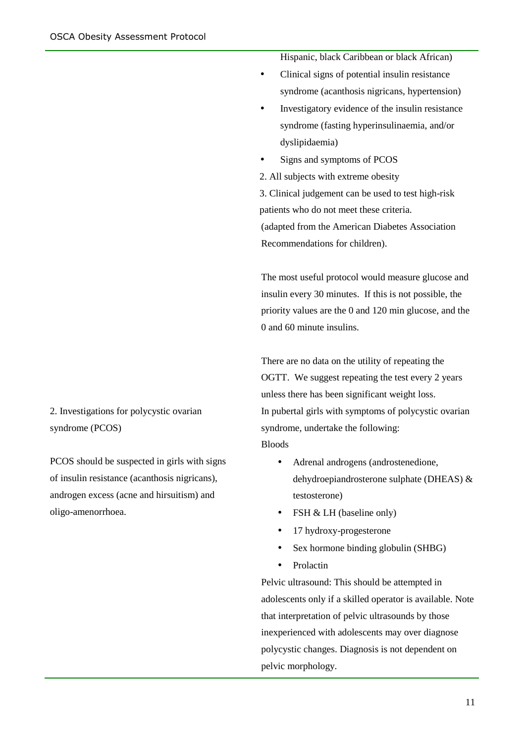2. Investigations for polycystic ovarian syndrome (PCOS)

PCOS should be suspected in girls with signs of insulin resistance (acanthosis nigricans), androgen excess (acne and hirsuitism) and oligo-amenorrhoea.

Hispanic, black Caribbean or black African)

- Clinical signs of potential insulin resistance syndrome (acanthosis nigricans, hypertension)
- Investigatory evidence of the insulin resistance syndrome (fasting hyperinsulinaemia, and/or dyslipidaemia)
- Signs and symptoms of PCOS

2. All subjects with extreme obesity

3. Clinical judgement can be used to test high-risk patients who do not meet these criteria. (adapted from the American Diabetes Association Recommendations for children).

The most useful protocol would measure glucose and insulin every 30 minutes. If this is not possible, the priority values are the 0 and 120 min glucose, and the 0 and 60 minute insulins.

There are no data on the utility of repeating the OGTT. We suggest repeating the test every 2 years unless there has been significant weight loss. In pubertal girls with symptoms of polycystic ovarian syndrome, undertake the following: **Bloods** 

- Adrenal androgens (androstenedione, dehydroepiandrosterone sulphate (DHEAS) & testosterone)
- FSH & LH (baseline only)
- 17 hydroxy-progesterone
- Sex hormone binding globulin (SHBG)
- Prolactin

Pelvic ultrasound: This should be attempted in adolescents only if a skilled operator is available. Note that interpretation of pelvic ultrasounds by those inexperienced with adolescents may over diagnose polycystic changes. Diagnosis is not dependent on pelvic morphology.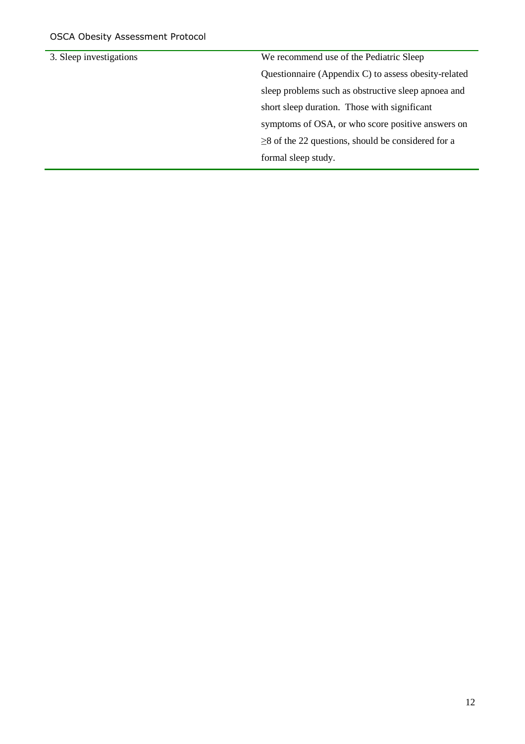| 3. Sleep investigations | We recommend use of the Pediatric Sleep                  |
|-------------------------|----------------------------------------------------------|
|                         | Questionnaire (Appendix C) to assess obesity-related     |
|                         | sleep problems such as obstructive sleep apnoea and      |
|                         | short sleep duration. Those with significant             |
|                         | symptoms of OSA, or who score positive answers on        |
|                         | $\geq$ 8 of the 22 questions, should be considered for a |
|                         | formal sleep study.                                      |
|                         |                                                          |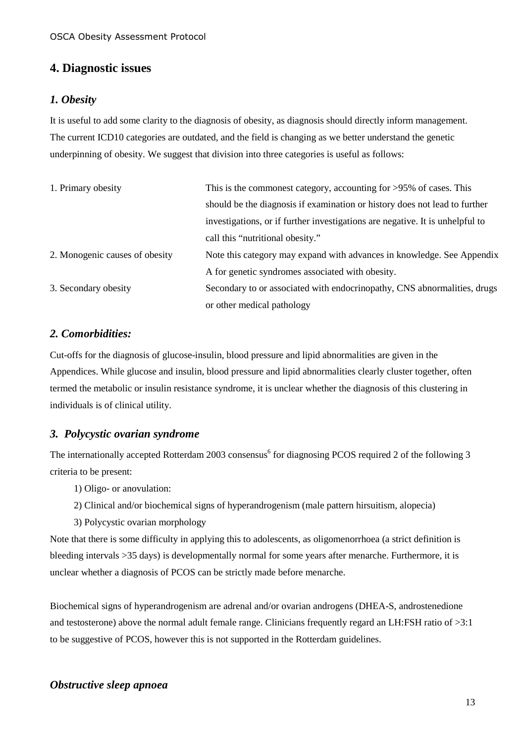### **4. Diagnostic issues**

#### *1. Obesity*

It is useful to add some clarity to the diagnosis of obesity, as diagnosis should directly inform management. The current ICD10 categories are outdated, and the field is changing as we better understand the genetic underpinning of obesity. We suggest that division into three categories is useful as follows:

| 1. Primary obesity             | This is the commonest category, accounting for $>95\%$ of cases. This         |  |
|--------------------------------|-------------------------------------------------------------------------------|--|
|                                | should be the diagnosis if examination or history does not lead to further    |  |
|                                | investigations, or if further investigations are negative. It is unhelpful to |  |
|                                | call this "nutritional obesity."                                              |  |
| 2. Monogenic causes of obesity | Note this category may expand with advances in knowledge. See Appendix        |  |
|                                | A for genetic syndromes associated with obesity.                              |  |
| 3. Secondary obesity           | Secondary to or associated with endocrinopathy, CNS abnormalities, drugs      |  |
|                                | or other medical pathology                                                    |  |

#### *2. Comorbidities:*

Cut-offs for the diagnosis of glucose-insulin, blood pressure and lipid abnormalities are given in the Appendices. While glucose and insulin, blood pressure and lipid abnormalities clearly cluster together, often termed the metabolic or insulin resistance syndrome, it is unclear whether the diagnosis of this clustering in individuals is of clinical utility.

#### *3. Polycystic ovarian syndrome*

The internationally accepted Rotterdam 2003 consensus<sup>6</sup> for diagnosing PCOS required 2 of the following 3 criteria to be present:

- 1) Oligo- or anovulation:
- 2) Clinical and/or biochemical signs of hyperandrogenism (male pattern hirsuitism, alopecia)
- 3) Polycystic ovarian morphology

Note that there is some difficulty in applying this to adolescents, as oligomenorrhoea (a strict definition is bleeding intervals >35 days) is developmentally normal for some years after menarche. Furthermore, it is unclear whether a diagnosis of PCOS can be strictly made before menarche.

Biochemical signs of hyperandrogenism are adrenal and/or ovarian androgens (DHEA-S, androstenedione and testosterone) above the normal adult female range. Clinicians frequently regard an LH:FSH ratio of >3:1 to be suggestive of PCOS, however this is not supported in the Rotterdam guidelines.

#### *Obstructive sleep apnoea*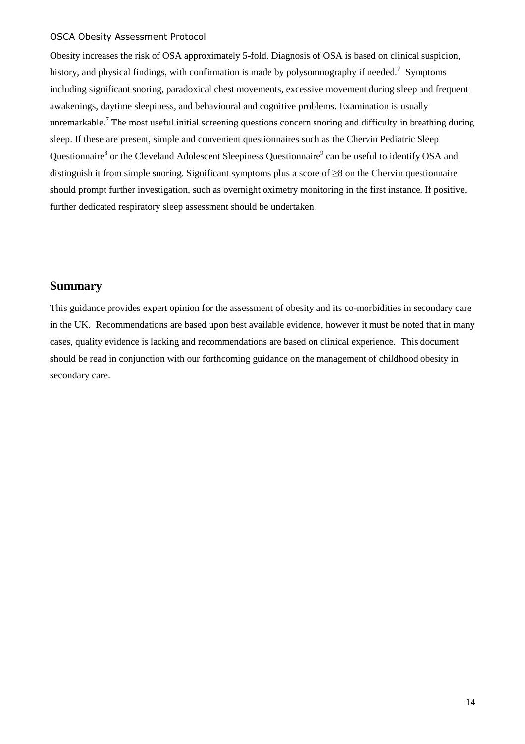Obesity increases the risk of OSA approximately 5-fold. Diagnosis of OSA is based on clinical suspicion, history, and physical findings, with confirmation is made by polysomnography if needed.<sup>7</sup> Symptoms including significant snoring, paradoxical chest movements, excessive movement during sleep and frequent awakenings, daytime sleepiness, and behavioural and cognitive problems. Examination is usually unremarkable.<sup>7</sup> The most useful initial screening questions concern snoring and difficulty in breathing during sleep. If these are present, simple and convenient questionnaires such as the Chervin Pediatric Sleep Questionnaire<sup>8</sup> or the Cleveland Adolescent Sleepiness Questionnaire<sup>9</sup> can be useful to identify OSA and distinguish it from simple snoring. Significant symptoms plus a score of ≥8 on the Chervin questionnaire should prompt further investigation, such as overnight oximetry monitoring in the first instance. If positive, further dedicated respiratory sleep assessment should be undertaken.

### **Summary**

This guidance provides expert opinion for the assessment of obesity and its co-morbidities in secondary care in the UK. Recommendations are based upon best available evidence, however it must be noted that in many cases, quality evidence is lacking and recommendations are based on clinical experience. This document should be read in conjunction with our forthcoming guidance on the management of childhood obesity in secondary care.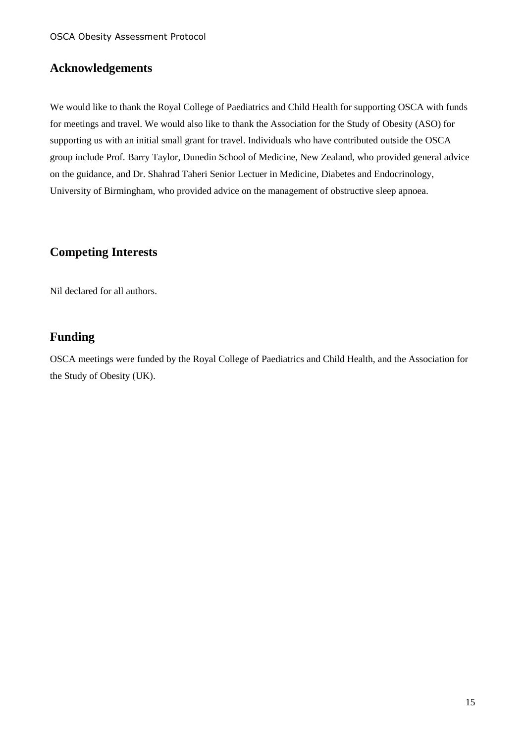### **Acknowledgements**

We would like to thank the Royal College of Paediatrics and Child Health for supporting OSCA with funds for meetings and travel. We would also like to thank the Association for the Study of Obesity (ASO) for supporting us with an initial small grant for travel. Individuals who have contributed outside the OSCA group include Prof. Barry Taylor, Dunedin School of Medicine, New Zealand, who provided general advice on the guidance, and Dr. Shahrad Taheri Senior Lectuer in Medicine, Diabetes and Endocrinology, University of Birmingham, who provided advice on the management of obstructive sleep apnoea.

### **Competing Interests**

Nil declared for all authors.

### **Funding**

OSCA meetings were funded by the Royal College of Paediatrics and Child Health, and the Association for the Study of Obesity (UK).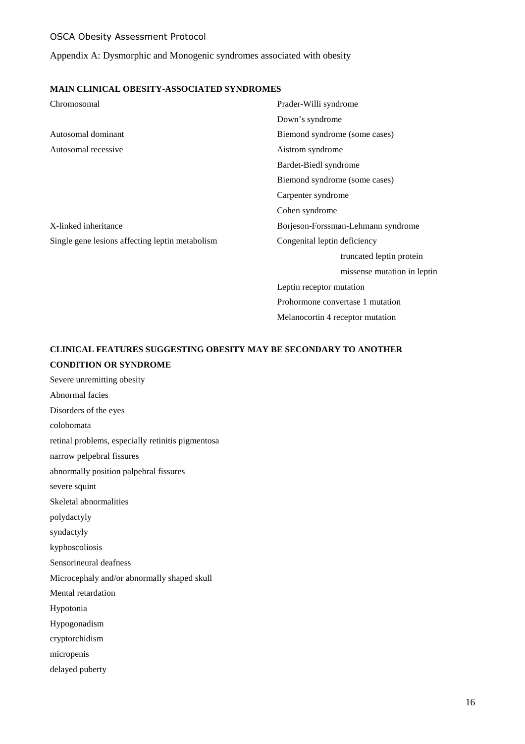Appendix A: Dysmorphic and Monogenic syndromes associated with obesity

#### **MAIN CLINICAL OBESITY-ASSOCIATED SYNDROMES**

| Chromosomal                                     | Prader-Willi syndrome              |  |
|-------------------------------------------------|------------------------------------|--|
|                                                 | Down's syndrome                    |  |
| Autosomal dominant                              | Biemond syndrome (some cases)      |  |
| Autosomal recessive                             | Aistrom syndrome                   |  |
|                                                 | Bardet-Biedl syndrome              |  |
|                                                 | Biemond syndrome (some cases)      |  |
|                                                 | Carpenter syndrome                 |  |
|                                                 | Cohen syndrome                     |  |
| X-linked inheritance                            | Borjeson-Forssman-Lehmann syndrome |  |
| Single gene lesions affecting leptin metabolism | Congenital leptin deficiency       |  |
|                                                 | truncated leptin protein           |  |
|                                                 | missense mutation in leptin        |  |
|                                                 | Leptin receptor mutation           |  |
|                                                 | Prohormone convertase 1 mutation   |  |
|                                                 | Melanocortin 4 receptor mutation   |  |

### **CLINICAL FEATURES SUGGESTING OBESITY MAY BE SECONDARY TO ANOTHER CONDITION OR SYNDROME**

Severe unremitting obesity Abnormal facies Disorders of the eyes colobomata retinal problems, especially retinitis pigmentosa narrow pelpebral fissures abnormally position palpebral fissures severe squint Skeletal abnormalities polydactyly syndactyly kyphoscoliosis Sensorineural deafness Microcephaly and/or abnormally shaped skull Mental retardation Hypotonia Hypogonadism cryptorchidism micropenis delayed puberty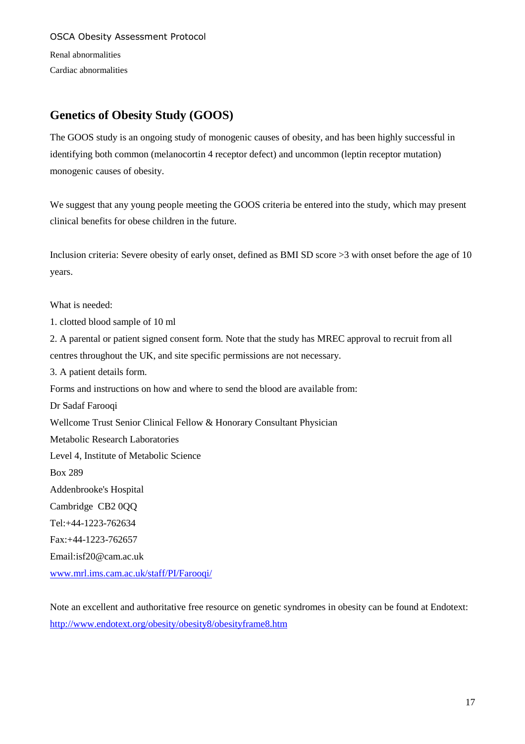OSCA Obesity Assessment Protocol Renal abnormalities

Cardiac abnormalities

### **Genetics of Obesity Study (GOOS)**

The GOOS study is an ongoing study of monogenic causes of obesity, and has been highly successful in identifying both common (melanocortin 4 receptor defect) and uncommon (leptin receptor mutation) monogenic causes of obesity.

We suggest that any young people meeting the GOOS criteria be entered into the study, which may present clinical benefits for obese children in the future.

Inclusion criteria: Severe obesity of early onset, defined as BMI SD score >3 with onset before the age of 10 years.

What is needed:

1. clotted blood sample of 10 ml

2. A parental or patient signed consent form. Note that the study has MREC approval to recruit from all centres throughout the UK, and site specific permissions are not necessary.

3. A patient details form.

Forms and instructions on how and where to send the blood are available from:

Dr Sadaf Farooqi

Wellcome Trust Senior Clinical Fellow & Honorary Consultant Physician

Metabolic Research Laboratories

Level 4, Institute of Metabolic Science

Box 289

Addenbrooke's Hospital

Cambridge CB2 0QQ

Tel:+44-1223-762634

Fax:+44-1223-762657

Email:isf20@cam.ac.uk

www.mrl.ims.cam.ac.uk/staff/PI/Farooqi/

Note an excellent and authoritative free resource on genetic syndromes in obesity can be found at Endotext: http://www.endotext.org/obesity/obesity8/obesityframe8.htm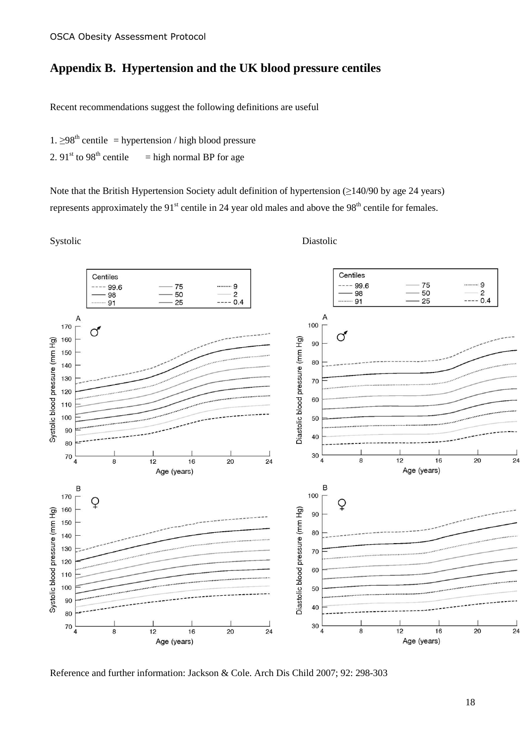### **Appendix B. Hypertension and the UK blood pressure centiles**

Recent recommendations suggest the following definitions are useful

- 1.  $\geq$ 98<sup>th</sup> centile = hypertension / high blood pressure
- 2.  $91<sup>st</sup>$  to  $98<sup>th</sup>$  centile = high normal BP for age

Note that the British Hypertension Society adult definition of hypertension (≥140/90 by age 24 years) represents approximately the  $91<sup>st</sup>$  centile in 24 year old males and above the  $98<sup>th</sup>$  centile for females.

Systolic Diastolic Diastolic



Reference and further information: Jackson & Cole. Arch Dis Child 2007; 92: 298-303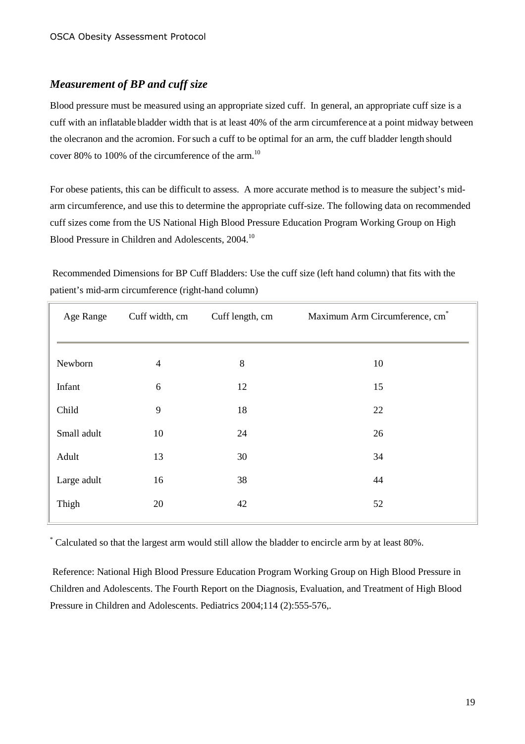#### *Measurement of BP and cuff size*

Blood pressure must be measured using an appropriate sized cuff. In general, an appropriate cuff size is a cuff with an inflatable bladder width that is at least 40% of the arm circumference at a point midway between the olecranon and the acromion. Forsuch a cuff to be optimal for an arm, the cuff bladder length should cover 80% to 100% of the circumference of the arm.<sup>10</sup>

For obese patients, this can be difficult to assess. A more accurate method is to measure the subject's midarm circumference, and use this to determine the appropriate cuff-size. The following data on recommended cuff sizes come from the US National High Blood Pressure Education Program Working Group on High Blood Pressure in Children and Adolescents, 2004.<sup>10</sup>

 Recommended Dimensions for BP Cuff Bladders: Use the cuff size (left hand column) that fits with the patient's mid-arm circumference (right-hand column)

| Age Range   | Cuff width, cm | Cuff length, cm | Maximum Arm Circumference, cm <sup>*</sup> |
|-------------|----------------|-----------------|--------------------------------------------|
| Newborn     | $\overline{4}$ | 8               | 10                                         |
| Infant      | 6              | 12              | 15                                         |
| Child       | 9              | 18              | 22                                         |
| Small adult | 10             | 24              | 26                                         |
| Adult       | 13             | 30              | 34                                         |
| Large adult | 16             | 38              | 44                                         |
| Thigh       | 20             | 42              | 52                                         |

\* Calculated so that the largest arm would still allow the bladder to encircle arm by at least 80%.

 Reference: National High Blood Pressure Education Program Working Group on High Blood Pressure in Children and Adolescents. The Fourth Report on the Diagnosis, Evaluation, and Treatment of High Blood Pressure in Children and Adolescents. Pediatrics 2004;114 (2):555-576,.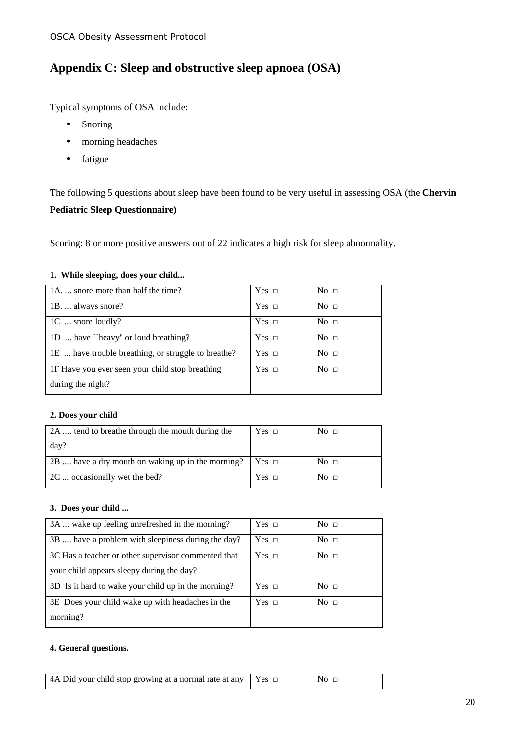### **Appendix C: Sleep and obstructive sleep apnoea (OSA)**

Typical symptoms of OSA include:

- Snoring
- morning headaches
- fatigue

The following 5 questions about sleep have been found to be very useful in assessing OSA (the **Chervin** 

#### **Pediatric Sleep Questionnaire)**

Scoring: 8 or more positive answers out of 22 indicates a high risk for sleep abnormality.

#### **1. While sleeping, does your child...**

| 1A.  snore more than half the time?                 | Yes $\Box$   | No <sub>1</sub> |
|-----------------------------------------------------|--------------|-----------------|
| 1B.  always snore?                                  | Yes $\Box$   | No <sub>1</sub> |
| 1C  snore loudly?                                   | Yes $\Box$   | No <sub>1</sub> |
| 1D  have "heavy" or loud breathing?                 | Yes $\Box$   | No <sub>1</sub> |
| 1E  have trouble breathing, or struggle to breathe? | Yes $\sqcap$ | No <sub>1</sub> |
| 1F Have you ever seen your child stop breathing     | Yes $\Box$   | No <sub>1</sub> |
| during the night?                                   |              |                 |

#### **2. Does your child**

| 2A  tend to breathe through the mouth during the  | Yes $\Box$ | No <sub>1</sub> |
|---------------------------------------------------|------------|-----------------|
| day?                                              |            |                 |
| 2B  have a dry mouth on waking up in the morning? | $Yes \Box$ | No <sub>1</sub> |
| 2C  occasionally wet the bed?                     | $Yes \Box$ | No <sub>1</sub> |

#### **3. Does your child ...**

| 3A  wake up feeling unrefreshed in the morning?     | Yes $\Box$   | No <sub>1</sub> |
|-----------------------------------------------------|--------------|-----------------|
| 3B  have a problem with sleepiness during the day?  | Yes $\sqcap$ | No $\Box$       |
| 3C Has a teacher or other supervisor commented that | Yes $\sqcap$ | No $\Box$       |
| your child appears sleepy during the day?           |              |                 |
| 3D Is it hard to wake your child up in the morning? | Yes $\sqcap$ | No $\Box$       |
| 3E Does your child wake up with headaches in the    | Yes $\sqcap$ | No $\Box$       |
| morning?                                            |              |                 |

#### **4. General questions.**

| 4A Did your child stop growing at a normal rate at any $\vert$ Yes $\vert$ | $\overline{\phantom{a}}$ No $\overline{\phantom{a}}$ |
|----------------------------------------------------------------------------|------------------------------------------------------|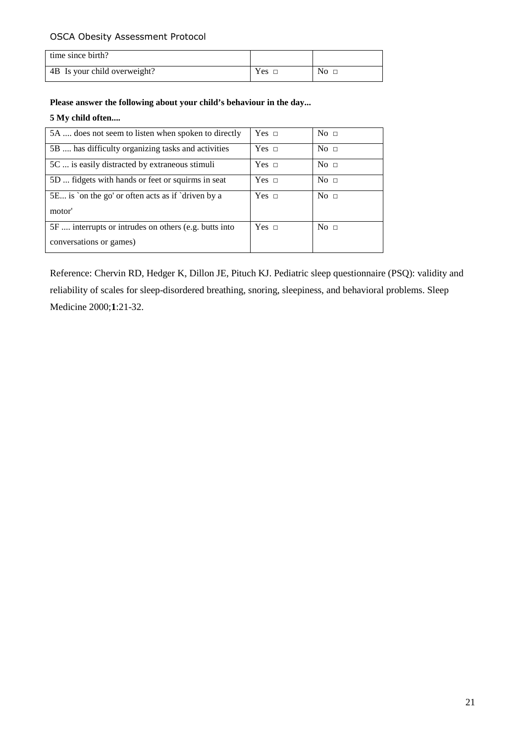| time since birth?            |         |                 |
|------------------------------|---------|-----------------|
| 4B Is your child overweight? | $Yes\_$ | $\mathrm{No}$ o |

#### **Please answer the following about your child's behaviour in the day...**

#### **5 My child often....**

| 5A  does not seem to listen when spoken to directly   | Yes $\Box$   | No <sub>1</sub> |
|-------------------------------------------------------|--------------|-----------------|
| 5B  has difficulty organizing tasks and activities    | Yes $\Box$   | No <sub>1</sub> |
| 5C  is easily distracted by extraneous stimuli        | Yes $\Box$   | No <sub>1</sub> |
| 5D  fidgets with hands or feet or squirms in seat     | Yes $\sqcap$ | No <sub>1</sub> |
| 5E is 'on the go' or often acts as if 'driven by a    | Yes $\sqcap$ | No <sub>1</sub> |
| motor'                                                |              |                 |
| 5F  interrupts or intrudes on others (e.g. butts into | $Yes \Box$   | No <sub>1</sub> |
| conversations or games)                               |              |                 |

Reference: Chervin RD, Hedger K, Dillon JE, Pituch KJ. Pediatric sleep questionnaire (PSQ): validity and reliability of scales for sleep-disordered breathing, snoring, sleepiness, and behavioral problems. Sleep Medicine 2000;**1**:21-32.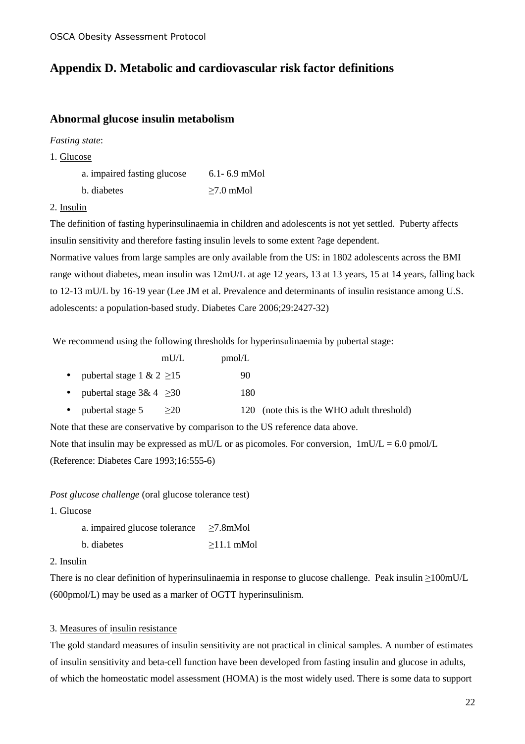### **Appendix D. Metabolic and cardiovascular risk factor definitions**

#### **Abnormal glucose insulin metabolism**

*Fasting state*:

1. Glucose

| a. impaired fasting glucose | $6.1 - 6.9$ mMol |
|-----------------------------|------------------|
| b. diabetes                 | $\geq 7.0$ mMol  |

#### 2. Insulin

The definition of fasting hyperinsulinaemia in children and adolescents is not yet settled. Puberty affects insulin sensitivity and therefore fasting insulin levels to some extent ?age dependent.

Normative values from large samples are only available from the US: in 1802 adolescents across the BMI range without diabetes, mean insulin was 12mU/L at age 12 years, 13 at 13 years, 15 at 14 years, falling back to 12-13 mU/L by 16-19 year (Lee JM et al. Prevalence and determinants of insulin resistance among U.S. adolescents: a population-based study. Diabetes Care 2006;29:2427-32)

We recommend using the following thresholds for hyperinsulinaemia by pubertal stage:

|  |                                | mU/L | pmol/L |       |
|--|--------------------------------|------|--------|-------|
|  | pubertal stage 1 & 2 $\geq$ 15 |      | 90     |       |
|  | pubertal stage $3& 4 \geq 30$  |      | 180    |       |
|  | pubortal store 5               |      |        | inote |

• pubertal stage  $5 \geq 20$  120 (note this is the WHO adult threshold)

Note that these are conservative by comparison to the US reference data above.

Note that insulin may be expressed as mU/L or as picomoles. For conversion,  $1 \text{m} U/L = 6.0 \text{ pmol/L}$ (Reference: Diabetes Care 1993;16:555-6)

*Post glucose challenge* (oral glucose tolerance test)

1. Glucose

| a. impaired glucose tolerance | $\geq 7.8$ mMol  |
|-------------------------------|------------------|
| b. diabetes                   | $\geq$ 11.1 mMol |

2. Insulin

There is no clear definition of hyperinsulinaemia in response to glucose challenge. Peak insulin ≥100mU/L (600pmol/L) may be used as a marker of OGTT hyperinsulinism.

#### 3. Measures of insulin resistance

The gold standard measures of insulin sensitivity are not practical in clinical samples. A number of estimates of insulin sensitivity and beta-cell function have been developed from fasting insulin and glucose in adults, of which the homeostatic model assessment (HOMA) is the most widely used. There is some data to support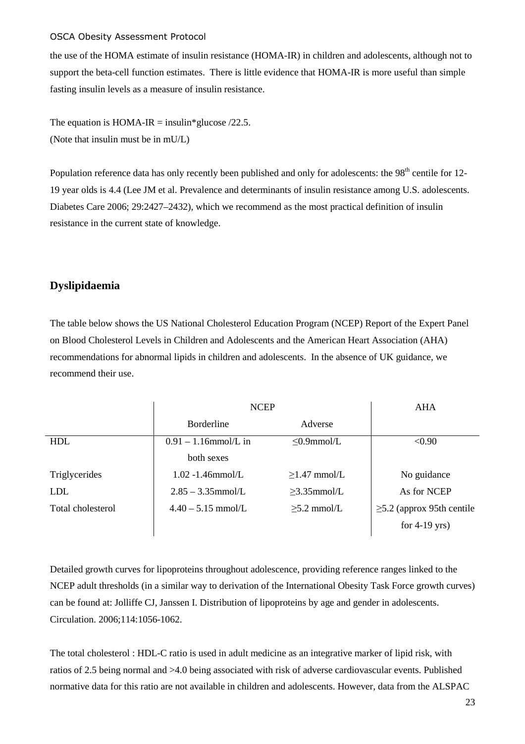the use of the HOMA estimate of insulin resistance (HOMA-IR) in children and adolescents, although not to support the beta-cell function estimates. There is little evidence that HOMA-IR is more useful than simple fasting insulin levels as a measure of insulin resistance.

The equation is HOMA-IR = insulin\*glucose  $/22.5$ . (Note that insulin must be in mU/L)

Population reference data has only recently been published and only for adolescents: the 98<sup>th</sup> centile for 12-19 year olds is 4.4 (Lee JM et al. Prevalence and determinants of insulin resistance among U.S. adolescents. Diabetes Care 2006; 29:2427–2432), which we recommend as the most practical definition of insulin resistance in the current state of knowledge.

#### **Dyslipidaemia**

The table below shows the US National Cholesterol Education Program (NCEP) Report of the Expert Panel on Blood Cholesterol Levels in Children and Adolescents and the American Heart Association (AHA) recommendations for abnormal lipids in children and adolescents. In the absence of UK guidance, we recommend their use.

|                   | <b>NCEP</b>             |                    | AHA                             |
|-------------------|-------------------------|--------------------|---------------------------------|
|                   | <b>B</b> orderline      | Adverse            |                                 |
| <b>HDL</b>        | $0.91 - 1.16$ mmol/L in | $\leq 0.9$ mmol/L  | < 0.90                          |
|                   | both sexes              |                    |                                 |
| Triglycerides     | $1.02 - 1.46$ mmol/L    | $\geq$ 1.47 mmol/L | No guidance                     |
| <b>LDL</b>        | $2.85 - 3.35$ mmol/L    | $\geq$ 3.35mmol/L  | As for NCEP                     |
| Total cholesterol | $4.40 - 5.15$ mmol/L    | $\geq$ 5.2 mmol/L  | $\geq$ 5.2 (approx 95th centile |
|                   |                         |                    | for $4-19$ yrs)                 |

Detailed growth curves for lipoproteins throughout adolescence, providing reference ranges linked to the NCEP adult thresholds (in a similar way to derivation of the International Obesity Task Force growth curves) can be found at: Jolliffe CJ, Janssen I. Distribution of lipoproteins by age and gender in adolescents. Circulation. 2006;114:1056-1062.

The total cholesterol : HDL-C ratio is used in adult medicine as an integrative marker of lipid risk, with ratios of 2.5 being normal and >4.0 being associated with risk of adverse cardiovascular events. Published normative data for this ratio are not available in children and adolescents. However, data from the ALSPAC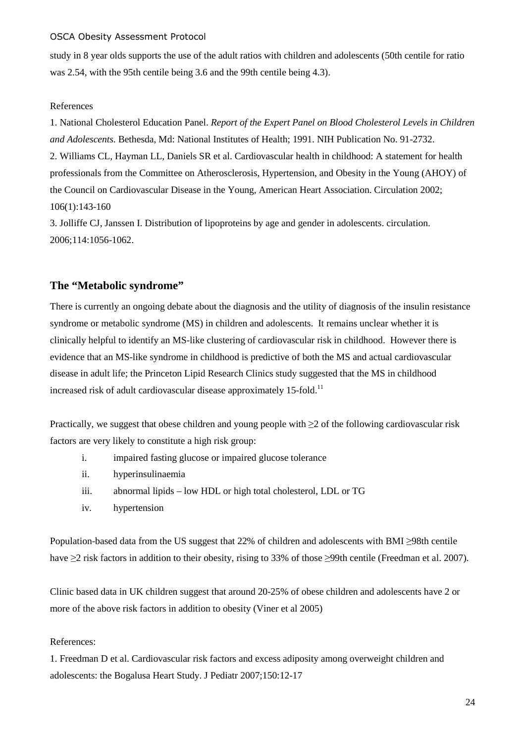study in 8 year olds supports the use of the adult ratios with children and adolescents (50th centile for ratio was 2.54, with the 95th centile being 3.6 and the 99th centile being 4.3).

#### References

1. National Cholesterol Education Panel. *Report of the Expert Panel on Blood Cholesterol Levels in Children and Adolescents*. Bethesda, Md: National Institutes of Health; 1991. NIH Publication No. 91-2732. 2. Williams CL, Hayman LL, Daniels SR et al. Cardiovascular health in childhood: A statement for health professionals from the Committee on Atherosclerosis, Hypertension, and Obesity in the Young (AHOY) of the Council on Cardiovascular Disease in the Young, American Heart Association. Circulation 2002; 106(1):143-160

3. Jolliffe CJ, Janssen I. Distribution of lipoproteins by age and gender in adolescents. circulation. 2006;114:1056-1062.

#### **The "Metabolic syndrome"**

There is currently an ongoing debate about the diagnosis and the utility of diagnosis of the insulin resistance syndrome or metabolic syndrome (MS) in children and adolescents. It remains unclear whether it is clinically helpful to identify an MS-like clustering of cardiovascular risk in childhood. However there is evidence that an MS-like syndrome in childhood is predictive of both the MS and actual cardiovascular disease in adult life; the Princeton Lipid Research Clinics study suggested that the MS in childhood increased risk of adult cardiovascular disease approximately 15-fold.<sup>11</sup>

Practically, we suggest that obese children and young people with  $\geq$  2 of the following cardiovascular risk factors are very likely to constitute a high risk group:

- i. impaired fasting glucose or impaired glucose tolerance
- ii. hyperinsulinaemia
- iii. abnormal lipids low HDL or high total cholesterol, LDL or TG
- iv. hypertension

Population-based data from the US suggest that 22% of children and adolescents with BMI ≥98th centile have ≥2 risk factors in addition to their obesity, rising to 33% of those ≥99th centile (Freedman et al. 2007).

Clinic based data in UK children suggest that around 20-25% of obese children and adolescents have 2 or more of the above risk factors in addition to obesity (Viner et al 2005)

#### References:

1. Freedman D et al. Cardiovascular risk factors and excess adiposity among overweight children and adolescents: the Bogalusa Heart Study. J Pediatr 2007;150:12-17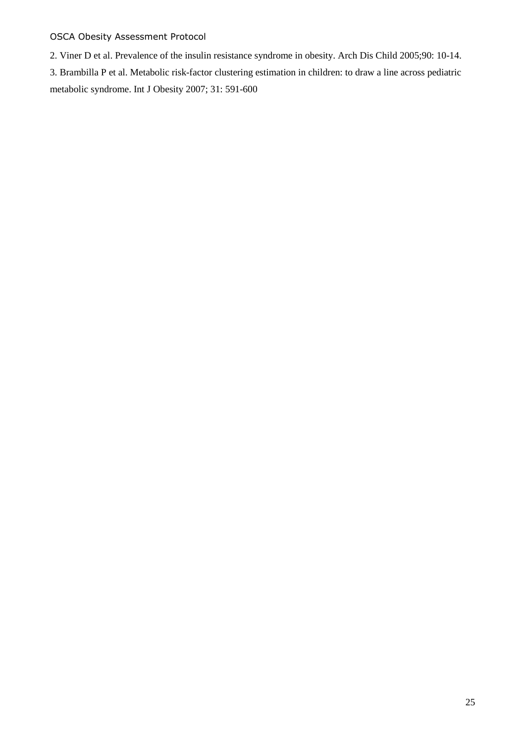2. Viner D et al. Prevalence of the insulin resistance syndrome in obesity. Arch Dis Child 2005;90: 10-14. 3. Brambilla P et al. Metabolic risk-factor clustering estimation in children: to draw a line across pediatric metabolic syndrome. Int J Obesity 2007; 31: 591-600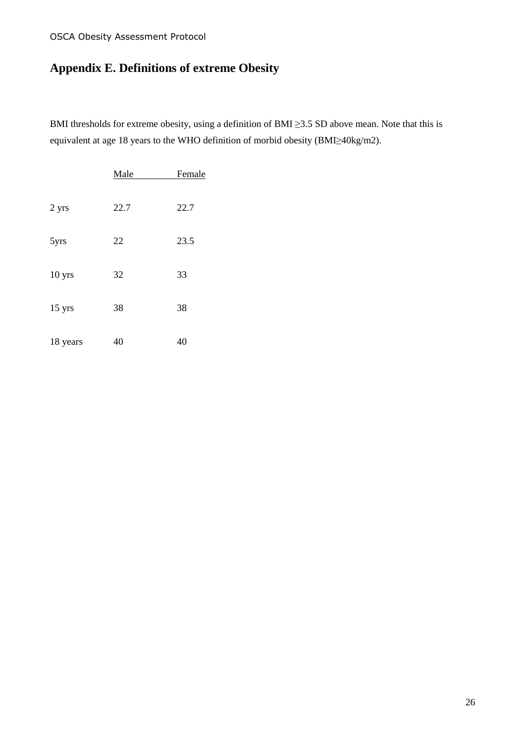# **Appendix E. Definitions of extreme Obesity**

BMI thresholds for extreme obesity, using a definition of BMI ≥3.5 SD above mean. Note that this is equivalent at age 18 years to the WHO definition of morbid obesity (BMI≥40kg/m2).

|          | Male | Female |
|----------|------|--------|
| 2 yrs    | 22.7 | 22.7   |
| 5yrs     | 22   | 23.5   |
| 10 yrs   | 32   | 33     |
| 15 yrs   | 38   | 38     |
| 18 years | 40   | 40     |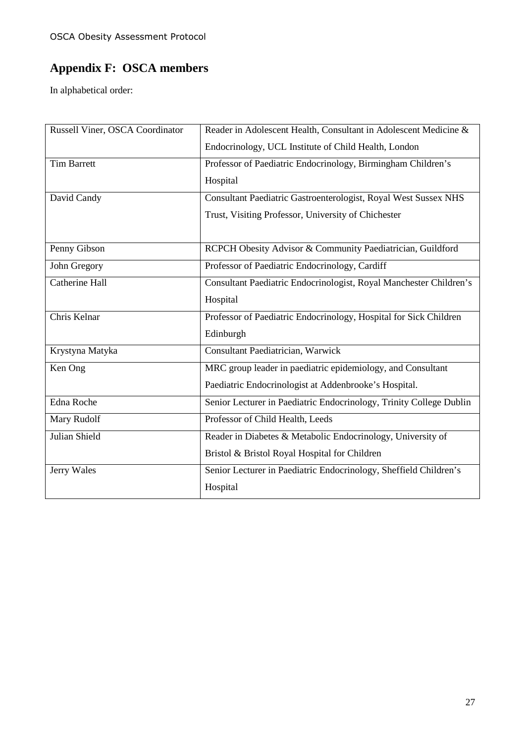# **Appendix F: OSCA members**

In alphabetical order:

| Russell Viner, OSCA Coordinator | Reader in Adolescent Health, Consultant in Adolescent Medicine &    |  |
|---------------------------------|---------------------------------------------------------------------|--|
|                                 | Endocrinology, UCL Institute of Child Health, London                |  |
| <b>Tim Barrett</b>              | Professor of Paediatric Endocrinology, Birmingham Children's        |  |
|                                 | Hospital                                                            |  |
| David Candy                     | Consultant Paediatric Gastroenterologist, Royal West Sussex NHS     |  |
|                                 | Trust, Visiting Professor, University of Chichester                 |  |
|                                 |                                                                     |  |
| Penny Gibson                    | RCPCH Obesity Advisor & Community Paediatrician, Guildford          |  |
| John Gregory                    | Professor of Paediatric Endocrinology, Cardiff                      |  |
| <b>Catherine Hall</b>           | Consultant Paediatric Endocrinologist, Royal Manchester Children's  |  |
|                                 | Hospital                                                            |  |
| Chris Kelnar                    | Professor of Paediatric Endocrinology, Hospital for Sick Children   |  |
|                                 | Edinburgh                                                           |  |
| Krystyna Matyka                 | <b>Consultant Paediatrician, Warwick</b>                            |  |
| Ken Ong                         | MRC group leader in paediatric epidemiology, and Consultant         |  |
|                                 | Paediatric Endocrinologist at Addenbrooke's Hospital.               |  |
| Edna Roche                      | Senior Lecturer in Paediatric Endocrinology, Trinity College Dublin |  |
| Mary Rudolf                     | Professor of Child Health, Leeds                                    |  |
| Julian Shield                   | Reader in Diabetes & Metabolic Endocrinology, University of         |  |
|                                 | Bristol & Bristol Royal Hospital for Children                       |  |
| Jerry Wales                     | Senior Lecturer in Paediatric Endocrinology, Sheffield Children's   |  |
|                                 | Hospital                                                            |  |